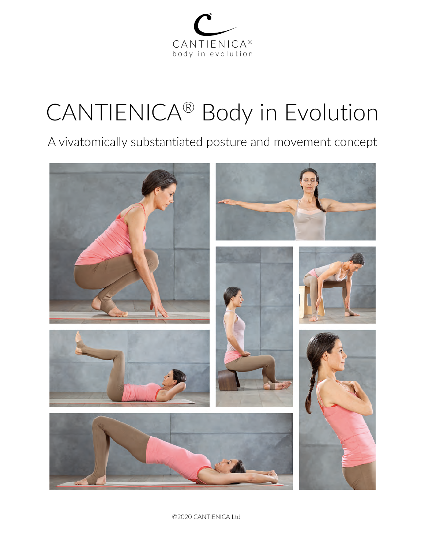

# CANTIENICA® Body in Evolution

A vivatomically substantiated posture and movement concept



©2020 CANTIENICA Ltd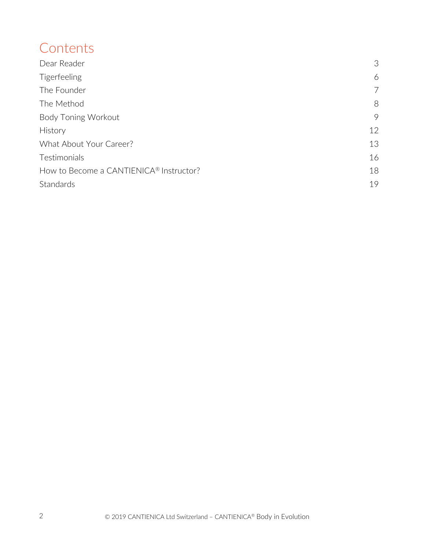## **Contents**

| Dear Reader                             | 3  |
|-----------------------------------------|----|
| <b>Tigerfeeling</b>                     | 6  |
| The Founder                             | 7  |
| The Method                              | 8  |
| <b>Body Toning Workout</b>              | 9  |
| <b>History</b>                          | 12 |
| What About Your Career?                 | 13 |
| Testimonials                            | 16 |
| How to Become a CANTIENICA® Instructor? | 18 |
| Standards                               | 19 |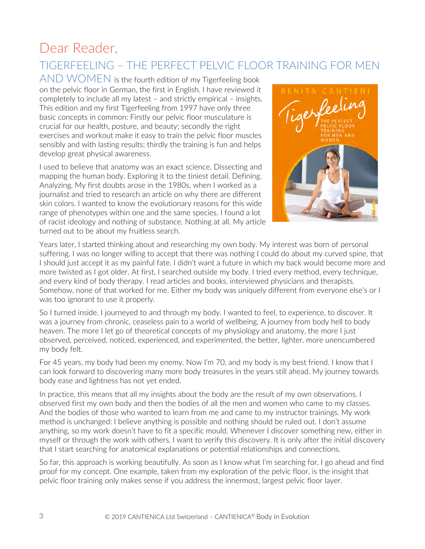## Dear Reader,

## TIGERFEELING – THE PERFECT PELVIC FLOOR TRAINING FOR MEN

 $AND WOMEN$  is the fourth edition of my Tigerfeeling book on the pelvic floor in German, the first in English. I have reviewed it completely to include all my latest – and strictly empirical – insights. This edition and my first Tigerfeeling from 1997 have only three basic concepts in common: Firstly our pelvic floor musculature is crucial for our health, posture, and beauty; secondly the right exercises and workout make it easy to train the pelvic floor muscles sensibly and with lasting results; thirdly the training is fun and helps develop great physical awareness.

I used to believe that anatomy was an exact science. Dissecting and mapping the human body. Exploring it to the tiniest detail. Defining. Analyzing. My first doubts arose in the 1980s, when I worked as a journalist and tried to research an article on why there are different skin colors. I wanted to know the evolutionary reasons for this wide range of phenotypes within one and the same species. I found a lot of racist ideology and nothing of substance. Nothing at all. My article turned out to be about my fruitless search.



Years later, I started thinking about and researching my own body. My interest was born of personal suffering. I was no longer willing to accept that there was nothing I could do about my curved spine, that I should just accept it as my painful fate. I didn't want a future in which my back would become more and more twisted as I got older. At first, I searched outside my body. I tried every method, every technique, and every kind of body therapy. I read articles and books, interviewed physicians and therapists. Somehow, none of that worked for me. Either my body was uniquely different from everyone else's or I was too ignorant to use it properly.

So I turned inside. I journeyed to and through my body. I wanted to feel, to experience, to discover. It was a journey from chronic, ceaseless pain to a world of wellbeing. A journey from body hell to body heaven. The more I let go of theoretical concepts of my physiology and anatomy, the more I just observed, perceived, noticed, experienced, and experimented, the better, lighter, more unencumbered my body felt.

For 45 years, my body had been my enemy. Now I'm 70, and my body is my best friend. I know that I can look forward to discovering many more body treasures in the years still ahead. My journey towards body ease and lightness has not yet ended.

In practice, this means that all my insights about the body are the result of my own observations. I observed first my own body and then the bodies of all the men and women who came to my classes. And the bodies of those who wanted to learn from me and came to my instructor trainings. My work method is unchanged: I believe anything is possible and nothing should be ruled out. I don't assume anything, so my work doesn't have to fit a specific mould. Whenever I discover something new, either in myself or through the work with others, I want to verify this discovery. It is only after the initial discovery that I start searching for anatomical explanations or potential relationships and connections.

So far, this approach is working beautifully. As soon as I know what I'm searching for, I go ahead and find proof for my concept. One example, taken from my exploration of the pelvic floor, is the insight that pelvic floor training only makes sense if you address the innermost, largest pelvic floor layer.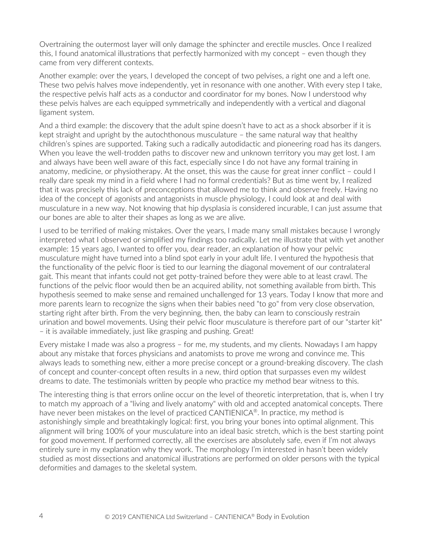Overtraining the outermost layer will only damage the sphincter and erectile muscles. Once I realized this, I found anatomical illustrations that perfectly harmonized with my concept – even though they came from very different contexts.

Another example: over the years, I developed the concept of two pelvises, a right one and a left one. These two pelvis halves move independently, yet in resonance with one another. With every step I take, the respective pelvis half acts as a conductor and coordinator for my bones. Now I understood why these pelvis halves are each equipped symmetrically and independently with a vertical and diagonal ligament system.

And a third example: the discovery that the adult spine doesn't have to act as a shock absorber if it is kept straight and upright by the autochthonous musculature – the same natural way that healthy children's spines are supported. Taking such a radically autodidactic and pioneering road has its dangers. When you leave the well-trodden paths to discover new and unknown territory you may get lost. I am and always have been well aware of this fact, especially since I do not have any formal training in anatomy, medicine, or physiotherapy. At the onset, this was the cause for great inner conflict – could I really dare speak my mind in a field where I had no formal credentials? But as time went by, I realized that it was precisely this lack of preconceptions that allowed me to think and observe freely. Having no idea of the concept of agonists and antagonists in muscle physiology, I could look at and deal with musculature in a new way. Not knowing that hip dysplasia is considered incurable, I can just assume that our bones are able to alter their shapes as long as we are alive.

I used to be terrified of making mistakes. Over the years, I made many small mistakes because I wrongly interpreted what I observed or simplified my findings too radically. Let me illustrate that with yet another example: 15 years ago, I wanted to offer you, dear reader, an explanation of how your pelvic musculature might have turned into a blind spot early in your adult life. I ventured the hypothesis that the functionality of the pelvic floor is tied to our learning the diagonal movement of our contralateral gait. This meant that infants could not get potty-trained before they were able to at least crawl. The functions of the pelvic floor would then be an acquired ability, not something available from birth. This hypothesis seemed to make sense and remained unchallenged for 13 years. Today I know that more and more parents learn to recognize the signs when their babies need "to go" from very close observation, starting right after birth. From the very beginning, then, the baby can learn to consciously restrain urination and bowel movements. Using their pelvic floor musculature is therefore part of our "starter kit" – it is available immediately, just like grasping and pushing. Great!

Every mistake I made was also a progress – for me, my students, and my clients. Nowadays I am happy about any mistake that forces physicians and anatomists to prove me wrong and convince me. This always leads to something new, either a more precise concept or a ground-breaking discovery. The clash of concept and counter-concept often results in a new, third option that surpasses even my wildest dreams to date. The testimonials written by people who practice my method bear witness to this.

The interesting thing is that errors online occur on the level of theoretic interpretation, that is, when I try to match my approach of a "living and lively anatomy" with old and accepted anatomical concepts. There have never been mistakes on the level of practiced CANTIENICA<sup>®</sup>. In practice, my method is astonishingly simple and breathtakingly logical: first, you bring your bones into optimal alignment. This alignment will bring 100% of your musculature into an ideal basic stretch, which is the best starting point for good movement. If performed correctly, all the exercises are absolutely safe, even if I'm not always entirely sure in my explanation why they work. The morphology I'm interested in hasn't been widely studied as most dissections and anatomical illustrations are performed on older persons with the typical deformities and damages to the skeletal system.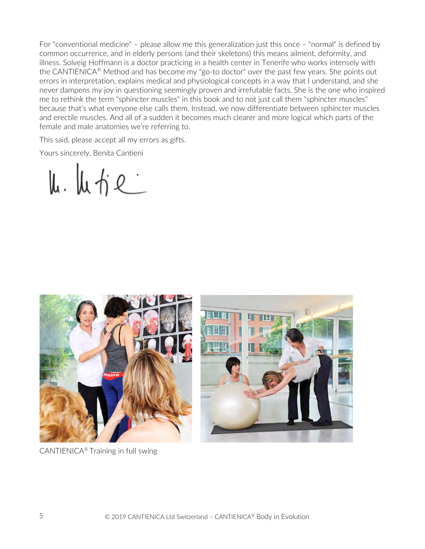For "conventional medicine" – please allow me this generalization just this once – "normal" is defined by common occurrence, and in elderly persons (and their skeletons) this means ailment, deformity, and illness. Solveig Hoffmann is a doctor practicing in a health center in Tenerife who works intensely with the CANTIENICA® Method and has become my "go-to doctor" over the past few years. She points out errors in interpretation, explains medical and physiological concepts in a way that I understand, and she never dampens my joy in questioning seemingly proven and irrefutable facts. She is the one who inspired me to rethink the term "sphincter muscles" in this book and to not just call them "sphincter muscles" because that's what everyone else calls them. Instead, we now differentiate between sphincter muscles and erectile muscles. And all of a sudden it becomes much clearer and more logical which parts of the female and male anatomies we're referring to.

This said, please accept all my errors as gifts.

Yours sincerely, Benita Cantieni

 $\mu.$   $\mu$   $\gamma$  e



CANTIENICA® Training in full swing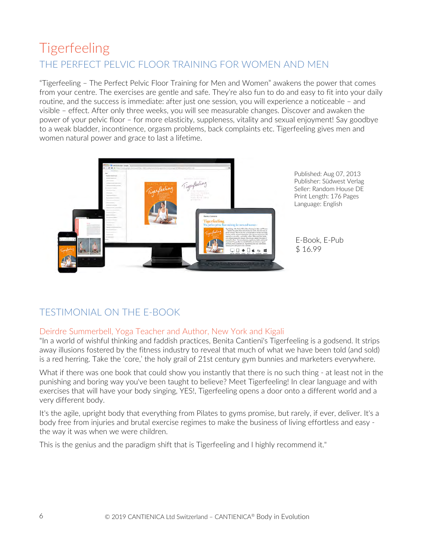## **Tigerfeeling** THE PERFECT PELVIC FLOOR TRAINING FOR WOMEN AND MEN

"Tigerfeeling – The Perfect Pelvic Floor Training for Men and Women" awakens the power that comes from your centre. The exercises are gentle and safe. They're also fun to do and easy to fit into your daily routine, and the success is immediate: after just one session, you will experience a noticeable – and visible – effect. After only three weeks, you will see measurable changes. Discover and awaken the power of your pelvic floor – for more elasticity, suppleness, vitality and sexual enjoyment! Say goodbye to a weak bladder, incontinence, orgasm problems, back complaints etc. Tigerfeeling gives men and women natural power and grace to last a lifetime.



Published: Aug 07, 2013 Publisher: Südwest Verlag Seller: Random House DE Print Length: 176 Pages Language: English

E-Book, E-Pub \$ 16.99

### TESTIMONIAL ON THE E-BOOK

### Deirdre Summerbell, Yoga Teacher and Author, New York and Kigali

"In a world of wishful thinking and faddish practices, Benita Cantieni's Tigerfeeling is a godsend. It strips away illusions fostered by the fitness industry to reveal that much of what we have been told (and sold) is a red herring. Take the 'core,' the holy grail of 21st century gym bunnies and marketers everywhere.

What if there was one book that could show you instantly that there is no such thing - at least not in the punishing and boring way you've been taught to believe? Meet Tigerfeeling! In clear language and with exercises that will have your body singing, YES!, Tigerfeeling opens a door onto a different world and a very different body.

It's the agile, upright body that everything from Pilates to gyms promise, but rarely, if ever, deliver. It's a body free from injuries and brutal exercise regimes to make the business of living effortless and easy the way it was when we were children.

This is the genius and the paradigm shift that is Tigerfeeling and I highly recommend it."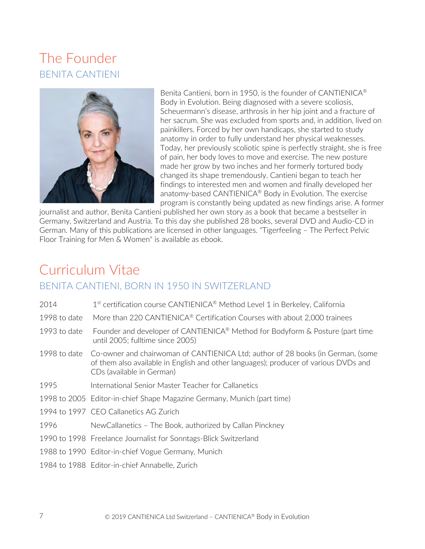## The Founder BENITA CANTIENI



Benita Cantieni, born in 1950, is the founder of CANTIENICA® Body in Evolution. Being diagnosed with a severe scoliosis, Scheuermann's disease, arthrosis in her hip joint and a fracture of her sacrum. She was excluded from sports and, in addition, lived on painkillers. Forced by her own handicaps, she started to study anatomy in order to fully understand her physical weaknesses. Today, her previously scoliotic spine is perfectly straight, she is free of pain, her body loves to move and exercise. The new posture made her grow by two inches and her formerly tortured body changed its shape tremendously. Cantieni began to teach her findings to interested men and women and finally developed her anatomy-based CANTIENICA® Body in Evolution. The exercise program is constantly being updated as new findings arise. A former

journalist and author, Benita Cantieni published her own story as a book that became a bestseller in Germany, Switzerland and Austria. To this day she published 28 books, several DVD and Audio-CD in German. Many of this publications are licensed in other languages. "Tigerfeeling – The Perfect Pelvic Floor Training for Men & Women" is available as ebook.

## Curriculum Vitae BENITA CANTIENI, BORN IN 1950 IN SWITZERLAND

| 2014         | 1 <sup>st</sup> certification course CANTIENICA <sup>®</sup> Method Level 1 in Berkeley, California                                                                                                  |
|--------------|------------------------------------------------------------------------------------------------------------------------------------------------------------------------------------------------------|
| 1998 to date | More than 220 CANTIENICA <sup>®</sup> Certification Courses with about 2,000 trainees                                                                                                                |
| 1993 to date | Founder and developer of CANTIENICA® Method for Bodyform & Posture (part time<br>until 2005; fulltime since 2005)                                                                                    |
| 1998 to date | Co-owner and chairwoman of CANTIENICA Ltd; author of 28 books (in German, (some<br>of them also available in English and other languages); producer of various DVDs and<br>CDs (available in German) |
| 1995         | International Senior Master Teacher for Callanetics                                                                                                                                                  |
|              | 1998 to 2005 Editor-in-chief Shape Magazine Germany, Munich (part time)                                                                                                                              |
|              | 1994 to 1997 CEO Callanetics AG Zurich                                                                                                                                                               |
| 1996         | NewCallanetics - The Book, authorized by Callan Pinckney                                                                                                                                             |
|              | 1990 to 1998 Freelance Journalist for Sonntags-Blick Switzerland                                                                                                                                     |
|              | 1988 to 1990 Editor-in-chief Vogue Germany, Munich                                                                                                                                                   |
|              | 1984 to 1988 Editor-in-chief Annabelle, Zurich                                                                                                                                                       |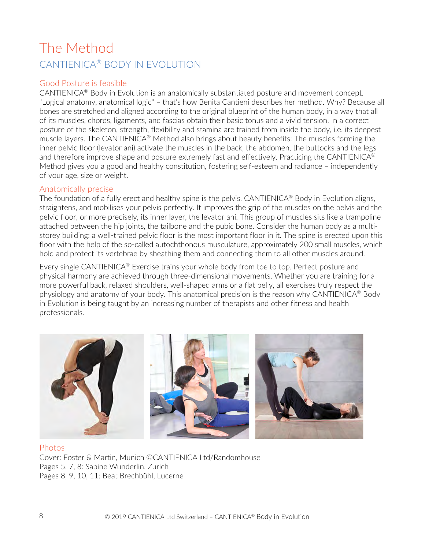## The Method CANTIENICA® BODY IN EVOLUTION

### Good Posture is feasible

CANTIENICA® Body in Evolution is an anatomically substantiated posture and movement concept. "Logical anatomy, anatomical logic" – that's how Benita Cantieni describes her method. Why? Because all bones are stretched and aligned according to the original blueprint of the human body, in a way that all of its muscles, chords, ligaments, and fascias obtain their basic tonus and a vivid tension. In a correct posture of the skeleton, strength, flexibility and stamina are trained from inside the body, i.e. its deepest muscle layers. The CANTIENICA® Method also brings about beauty benefits: The muscles forming the inner pelvic floor (levator ani) activate the muscles in the back, the abdomen, the buttocks and the legs and therefore improve shape and posture extremely fast and effectively. Practicing the CANTIENICA<sup>®</sup> Method gives you a good and healthy constitution, fostering self-esteem and radiance – independently of your age, size or weight.

### Anatomically precise

The foundation of a fully erect and healthy spine is the pelvis. CANTIENICA® Body in Evolution aligns, straightens, and mobilises your pelvis perfectly. It improves the grip of the muscles on the pelvis and the pelvic floor, or more precisely, its inner layer, the levator ani. This group of muscles sits like a trampoline attached between the hip joints, the tailbone and the pubic bone. Consider the human body as a multistorey building: a well-trained pelvic floor is the most important floor in it. The spine is erected upon this floor with the help of the so-called autochthonous musculature, approximately 200 small muscles, which hold and protect its vertebrae by sheathing them and connecting them to all other muscles around.

Every single CANTIENICA<sup>®</sup> Exercise trains your whole body from toe to top. Perfect posture and physical harmony are achieved through three-dimensional movements. Whether you are training for a more powerful back, relaxed shoulders, well-shaped arms or a flat belly, all exercises truly respect the physiology and anatomy of your body. This anatomical precision is the reason why CANTIENICA® Body in Evolution is being taught by an increasing number of therapists and other fitness and health professionals.



### Photos Cover: Foster & Martin, Munich ©CANTIENICA Ltd/Randomhouse Pages 5, 7, 8: Sabine Wunderlin, Zurich Pages 8, 9, 10, 11: Beat Brechbühl, Lucerne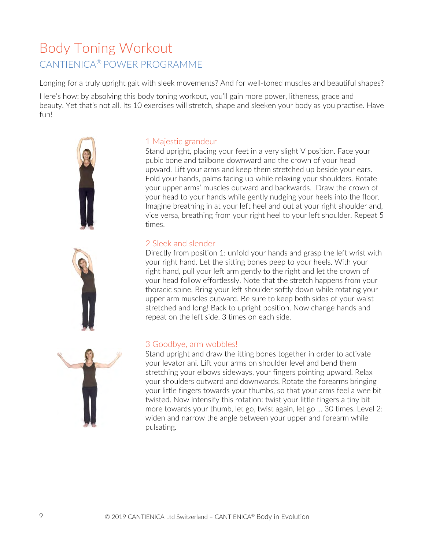## Body Toning Workout CANTIENICA® POWER PROGRAMME

Longing for a truly upright gait with sleek movements? And for well-toned muscles and beautiful shapes?

Here's how: by absolving this body toning workout, you'll gain more power, litheness, grace and beauty. Yet that's not all. Its 10 exercises will stretch, shape and sleeken your body as you practise. Have fun!



### 1 Majestic grandeur

Stand upright, placing your feet in a very slight V position. Face your pubic bone and tailbone downward and the crown of your head upward. Lift your arms and keep them stretched up beside your ears. Fold your hands, palms facing up while relaxing your shoulders. Rotate your upper arms' muscles outward and backwards. Draw the crown of your head to your hands while gently nudging your heels into the floor. Imagine breathing in at your left heel and out at your right shoulder and, vice versa, breathing from your right heel to your left shoulder. Repeat 5 times.

### 2 Sleek and slender

Directly from position 1: unfold your hands and grasp the left wrist with your right hand. Let the sitting bones peep to your heels. With your right hand, pull your left arm gently to the right and let the crown of your head follow effortlessly. Note that the stretch happens from your thoracic spine. Bring your left shoulder softly down while rotating your upper arm muscles outward. Be sure to keep both sides of your waist stretched and long! Back to upright position. Now change hands and repeat on the left side. 3 times on each side.



### 3 Goodbye, arm wobbles!

Stand upright and draw the itting bones together in order to activate your levator ani. Lift your arms on shoulder level and bend them stretching your elbows sideways, your fingers pointing upward. Relax your shoulders outward and downwards. Rotate the forearms bringing your little fingers towards your thumbs, so that your arms feel a wee bit twisted. Now intensify this rotation: twist your little fingers a tiny bit more towards your thumb, let go, twist again, let go ... 30 times. Level 2: widen and narrow the angle between your upper and forearm while pulsating.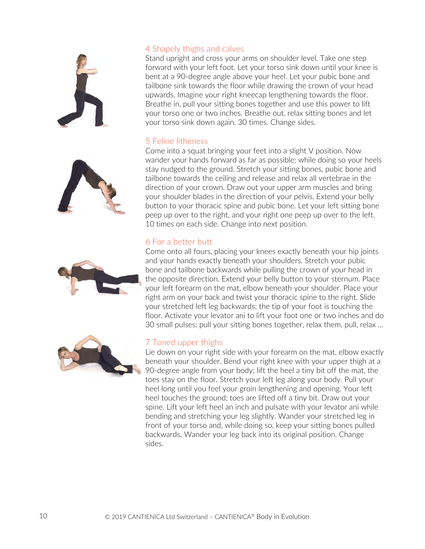





#### 4 Shapely thighs and calves

Stand upright and cross your arms on shoulder level. Take one step forward with your left foot. Let your torso sink down until your knee is bent at a 90-degree angle above your heel. Let your pubic bone and tailbone sink towards the floor while drawing the crown of your head upwards. Imagine your right kneecap lengthening towards the floor. Breathe in, pull your sitting bones together and use this power to lift your torso one or two inches. Breathe out, relax sitting bones and let your torso sink down again. 30 times. Change sides.

### 5 Feline litheness

Come into a squat bringing your feet into a slight V position. Now wander your hands forward as far as possible; while doing so your heels stay nudged to the ground. Stretch your sitting bones, pubic bone and tailbone towards the ceiling and release and relax all vertebrae in the direction of your crown. Draw out your upper arm muscles and bring your shoulder blades in the direction of your pelvis. Extend your belly button to your thoracic spine and pubic bone. Let your left sitting bone peep up over to the right, and your right one peep up over to the left. 10 times on each side. Change into next position.

### 6 For a better butt

Come onto all fours, placing your knees exactly beneath your hip joints and your hands exactly beneath your shoulders. Stretch your pubic bone and tailbone backwards while pulling the crown of your head in the opposite direction. Extend your belly button to your sternum. Place your left forearm on the mat, elbow beneath your shoulder. Place your right arm on your back and twist your thoracic spine to the right. Slide your stretched left leg backwards; the tip of your foot is touching the floor. Activate your levator ani to lift your foot one or two inches and do 30 small pulses: pull your sitting bones together, relax them, pull, relax ...



### 7 Toned upper thighs

Lie down on your right side with your forearm on the mat, elbow exactly beneath your shoulder. Bend your right knee with your upper thigh at a 90-degree angle from your body; lift the heel a tiny bit off the mat, the toes stay on the floor. Stretch your left leg along your body. Pull your heel long until you feel your groin lengthening and opening. Your left heel touches the ground; toes are lifted off a tiny bit. Draw out your spine. Lift your left heel an inch and pulsate with your levator ani while bending and stretching your leg slightly. Wander your stretched leg in front of your torso and, while doing so, keep your sitting bones pulled backwards. Wander your leg back into its original position. Change sides.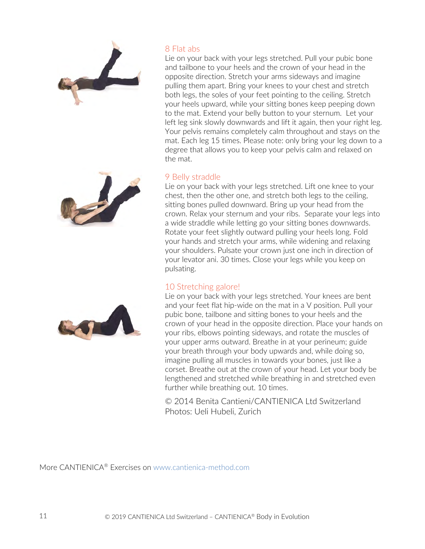

### 8 Flat abs

Lie on your back with your legs stretched. Pull your pubic bone and tailbone to your heels and the crown of your head in the opposite direction. Stretch your arms sideways and imagine pulling them apart. Bring your knees to your chest and stretch both legs, the soles of your feet pointing to the ceiling. Stretch your heels upward, while your sitting bones keep peeping down to the mat. Extend your belly button to your sternum. Let your left leg sink slowly downwards and lift it again, then your right leg. Your pelvis remains completely calm throughout and stays on the mat. Each leg 15 times. Please note: only bring your leg down to a degree that allows you to keep your pelvis calm and relaxed on the mat.

### 9 Belly straddle

Lie on your back with your legs stretched. Lift one knee to your chest, then the other one, and stretch both legs to the ceiling, sitting bones pulled downward. Bring up your head from the crown. Relax your sternum and your ribs. Separate your legs into a wide straddle while letting go your sitting bones downwards. Rotate your feet slightly outward pulling your heels long. Fold your hands and stretch your arms, while widening and relaxing your shoulders. Pulsate your crown just one inch in direction of your levator ani. 30 times. Close your legs while you keep on pulsating.

### 10 Stretching galore!

Lie on your back with your legs stretched. Your knees are bent and your feet flat hip-wide on the mat in a V position. Pull your pubic bone, tailbone and sitting bones to your heels and the crown of your head in the opposite direction. Place your hands on your ribs, elbows pointing sideways, and rotate the muscles of your upper arms outward. Breathe in at your perineum; guide your breath through your body upwards and, while doing so, imagine pulling all muscles in towards your bones, just like a corset. Breathe out at the crown of your head. Let your body be lengthened and stretched while breathing in and stretched even further while breathing out. 10 times.

© 2014 Benita Cantieni/CANTIENICA Ltd Switzerland Photos: Ueli Hubeli, Zurich

More CANTIENICA® Exercises on www.cantienica-method.com



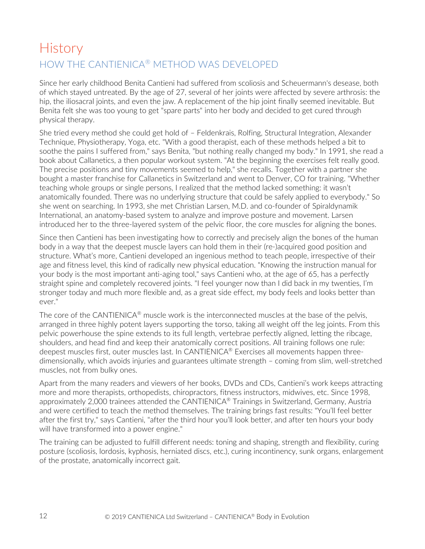## History HOW THE CANTIENICA® METHOD WAS DEVELOPED

Since her early childhood Benita Cantieni had suffered from scoliosis and Scheuermann's desease, both of which stayed untreated. By the age of 27, several of her joints were affected by severe arthrosis: the hip, the iliosacral joints, and even the jaw. A replacement of the hip joint finally seemed inevitable. But Benita felt she was too young to get "spare parts" into her body and decided to get cured through physical therapy.

She tried every method she could get hold of – Feldenkrais, Rolfing, Structural Integration, Alexander Technique, Physiotherapy, Yoga, etc. "With a good therapist, each of these methods helped a bit to soothe the pains I suffered from," says Benita, "but nothing really changed my body." In 1991, she read a book about Callanetics, a then popular workout system. "At the beginning the exercises felt really good. The precise positions and tiny movements seemed to help," she recalls. Together with a partner she bought a master franchise for Callanetics in Switzerland and went to Denver, CO for training. "Whether teaching whole groups or single persons, I realized that the method lacked something: it wasn't anatomically founded. There was no underlying structure that could be safely applied to everybody." So she went on searching. In 1993, she met Christian Larsen, M.D. and co-founder of Spiraldynamik International, an anatomy-based system to analyze and improve posture and movement. Larsen introduced her to the three-layered system of the pelvic floor, the core muscles for aligning the bones.

Since then Cantieni has been investigating how to correctly and precisely align the bones of the human body in a way that the deepest muscle layers can hold them in their (re-)acquired good position and structure. What's more, Cantieni developed an ingenious method to teach people, irrespective of their age and fitness level, this kind of radically new physical education. "Knowing the instruction manual for your body is the most important anti-aging tool," says Cantieni who, at the age of 65, has a perfectly straight spine and completely recovered joints. "I feel younger now than I did back in my twenties, I'm stronger today and much more flexible and, as a great side effect, my body feels and looks better than ever."

The core of the CANTIENICA® muscle work is the interconnected muscles at the base of the pelvis, arranged in three highly potent layers supporting the torso, taking all weight off the leg joints. From this pelvic powerhouse the spine extends to its full length, vertebrae perfectly aligned, letting the ribcage, shoulders, and head find and keep their anatomically correct positions. All training follows one rule: deepest muscles first, outer muscles last. In CANTIENICA® Exercises all movements happen threedimensionally, which avoids injuries and guarantees ultimate strength – coming from slim, well-stretched muscles, not from bulky ones.

Apart from the many readers and viewers of her books, DVDs and CDs, Cantieni's work keeps attracting more and more therapists, orthopedists, chiropractors, fitness instructors, midwives, etc. Since 1998, approximately 2,000 trainees attended the CANTIENICA® Trainings in Switzerland, Germany, Austria and were certified to teach the method themselves. The training brings fast results: "You'll feel better after the first try," says Cantieni, "after the third hour you'll look better, and after ten hours your body will have transformed into a power engine."

The training can be adjusted to fulfill different needs: toning and shaping, strength and flexibility, curing posture (scoliosis, lordosis, kyphosis, herniated discs, etc.), curing incontinency, sunk organs, enlargement of the prostate, anatomically incorrect gait.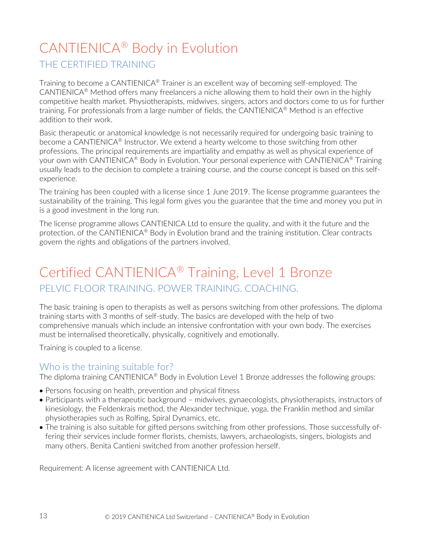## CANTIENICA® Body in Evolution

### THE CERTIFIED TRAINING

Training to become a CANTIENICA® Trainer is an excellent way of becoming self-employed. The CANTIENICA<sup>®</sup> Method offers many freelancers a niche allowing them to hold their own in the highly competitive health market. Physiotherapists, midwives, singers, actors and doctors come to us for further training. For professionals from a large number of fields, the CANTIENICA<sup>®</sup> Method is an effective addition to their work.

Basic therapeutic or anatomical knowledge is not necessarily required for undergoing basic training to become a CANTIENICA® Instructor. We extend a hearty welcome to those switching from other professions. The principal requirements are impartiality and empathy as well as physical experience of your own with CANTIENICA<sup>®</sup> Body in Evolution. Your personal experience with CANTIENICA<sup>®</sup> Training usually leads to the decision to complete a training course, and the course concept is based on this selfexperience.

The training has been coupled with a license since 1 June 2019. The license programme guarantees the sustainability of the training. This legal form gives you the guarantee that the time and money you put in is a good investment in the long run.

The license programme allows CANTIENICA Ltd to ensure the quality, and with it the future and the protection, of the CANTIENICA<sup>®</sup> Body in Evolution brand and the training institution. Clear contracts govern the rights and obligations of the partners involved.

## Certified CANTIENICA® Training, Level 1 Bronze PELVIC FLOOR TRAINING. POWER TRAINING. COACHING.

The basic training is open to therapists as well as persons switching from other professions. The diploma training starts with 3 months of self-study. The basics are developed with the help of two comprehensive manuals which include an intensive confrontation with your own body. The exercises must be internalised theoretically, physically, cognitively and emotionally.

Training is coupled to a license.

### Who is the training suitable for?

The diploma training CANTIENICA® Body in Evolution Level 1 Bronze addresses the following groups:

- Persons focusing on health, prevention and physical fitness
- Participants with a therapeutic background midwives, gynaecologists, physiotherapists, instructors of kinesiology, the Feldenkrais method, the Alexander technique, yoga, the Franklin method and similar physiotherapies such as Rolfing, Spiral Dynamics, etc.
- The training is also suitable for gifted persons switching from other professions. Those successfully offering their services include former florists, chemists, lawyers, archaeologists, singers, biologists and many others. Benita Cantieni switched from another profession herself.

Requirement: A license agreement with CANTIENICA Ltd.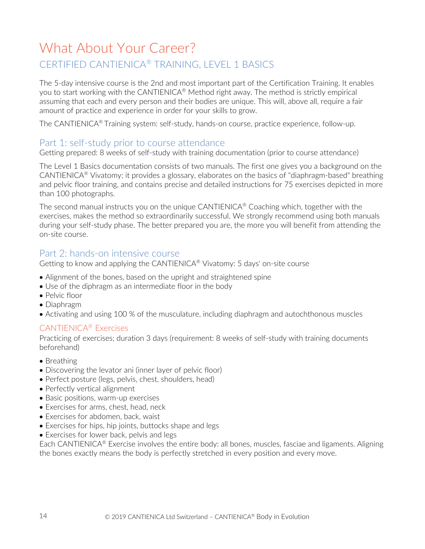## What About Your Career? CERTIFIED CANTIENICA® TRAINING, LEVEL 1 BASICS

The 5-day intensive course is the 2nd and most important part of the Certification Training. It enables you to start working with the CANTIENICA<sup>®</sup> Method right away. The method is strictly empirical assuming that each and every person and their bodies are unique. This will, above all, require a fair amount of practice and experience in order for your skills to grow.

The CANTIENICA® Training system: self-study, hands-on course, practice experience, follow-up.

### Part 1: self-study prior to course attendance

Getting prepared: 8 weeks of self-study with training documentation (prior to course attendance)

The Level 1 Basics documentation consists of two manuals. The first one gives you a background on the CANTIENICA® Vivatomy; it provides a glossary, elaborates on the basics of "diaphragm-based" breathing and pelvic floor training, and contains precise and detailed instructions for 75 exercises depicted in more than 100 photographs.

The second manual instructs you on the unique CANTIENICA® Coaching which, together with the exercises, makes the method so extraordinarily successful. We strongly recommend using both manuals during your self-study phase. The better prepared you are, the more you will benefit from attending the on-site course.

### Part 2: hands-on intensive course

Getting to know and applying the CANTIENICA® Vivatomy: 5 days' on-site course

- Alignment of the bones, based on the upright and straightened spine
- Use of the diphragm as an intermediate floor in the body
- Pelvic floor
- Diaphragm
- Activating and using 100 % of the musculature, including diaphragm and autochthonous muscles

### CANTIENICA® Exercises

Practicing of exercises; duration 3 days (requirement: 8 weeks of self-study with training documents beforehand)

- Breathing
- Discovering the levator ani (inner layer of pelvic floor)
- Perfect posture (legs, pelvis, chest, shoulders, head)
- Perfectly vertical alignment
- Basic positions, warm-up exercises
- Exercises for arms, chest, head, neck
- Exercises for abdomen, back, waist
- Exercises for hips, hip joints, buttocks shape and legs
- Exercises for lower back, pelvis and legs

Each CANTIENICA<sup>®</sup> Exercise involves the entire body: all bones, muscles, fasciae and ligaments. Aligning the bones exactly means the body is perfectly stretched in every position and every move.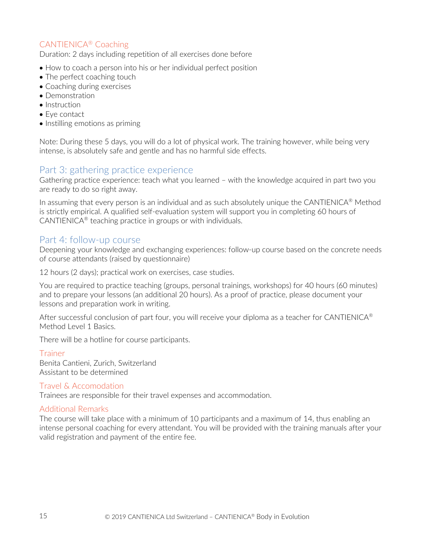### CANTIENICA® Coaching

Duration: 2 days including repetition of all exercises done before

- How to coach a person into his or her individual perfect position
- The perfect coaching touch
- Coaching during exercises
- Demonstration
- Instruction
- Eye contact
- Instilling emotions as priming

Note: During these 5 days, you will do a lot of physical work. The training however, while being very intense, is absolutely safe and gentle and has no harmful side effects.

### Part 3: gathering practice experience

Gathering practice experience: teach what you learned – with the knowledge acquired in part two you are ready to do so right away.

In assuming that every person is an individual and as such absolutely unique the CANTIENICA<sup>®</sup> Method is strictly empirical. A qualified self-evaluation system will support you in completing 60 hours of CANTIENICA® teaching practice in groups or with individuals.

### Part 4: follow-up course

Deepening your knowledge and exchanging experiences: follow-up course based on the concrete needs of course attendants (raised by questionnaire)

12 hours (2 days); practical work on exercises, case studies.

You are required to practice teaching (groups, personal trainings, workshops) for 40 hours (60 minutes) and to prepare your lessons (an additional 20 hours). As a proof of practice, please document your lessons and preparation work in writing.

After successful conclusion of part four, you will receive your diploma as a teacher for CANTIENICA<sup>®</sup> Method Level 1 Basics.

There will be a hotline for course participants.

### Trainer

Benita Cantieni, Zurich, Switzerland Assistant to be determined

Travel & Accomodation

Trainees are responsible for their travel expenses and accommodation.

### Additional Remarks

The course will take place with a minimum of 10 participants and a maximum of 14, thus enabling an intense personal coaching for every attendant. You will be provided with the training manuals after your valid registration and payment of the entire fee.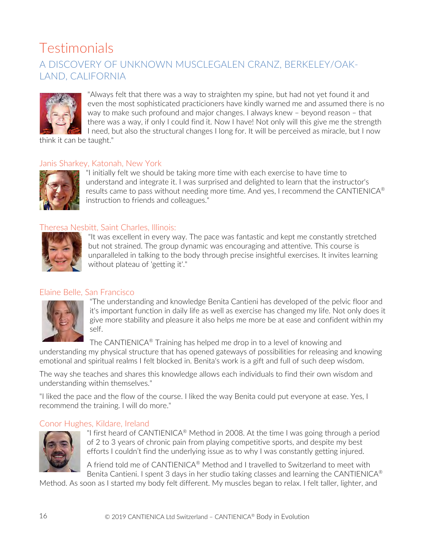## Testimonials A DISCOVERY OF UNKNOWN MUSCLEGALEN CRANZ, BERKELEY/OAK-LAND, CALIFORNIA



"Always felt that there was a way to straighten my spine, but had not yet found it and even the most sophisticated practicioners have kindly warned me and assumed there is no way to make such profound and major changes. I always knew – beyond reason – that there was a way, if only I could find it. Now I have! Not only will this give me the strength I need, but also the structural changes I long for. It will be perceived as miracle, but I now

think it can be taught."

### Janis Sharkey, Katonah, New York



"I initially felt we should be taking more time with each exercise to have time to understand and integrate it. I was surprised and delighted to learn that the instructor's results came to pass without needing more time. And yes, I recommend the CANTIENICA® instruction to friends and colleagues."

### Theresa Nesbitt, Saint Charles, Illinois:



"It was excellent in every way. The pace was fantastic and kept me constantly stretched but not strained. The group dynamic was encouraging and attentive. This course is unparalleled in talking to the body through precise insightful exercises. It invites learning without plateau of 'getting it'."

### Elaine Belle, San Francisco



"The understanding and knowledge Benita Cantieni has developed of the pelvic floor and it's important function in daily life as well as exercise has changed my life. Not only does it give more stability and pleasure it also helps me more be at ease and confident within my self.

The CANTIENICA® Training has helped me drop in to a level of knowing and

understanding my physical structure that has opened gateways of possibilities for releasing and knowing emotional and spiritual realms I felt blocked in. Benita's work is a gift and full of such deep wisdom.

The way she teaches and shares this knowledge allows each individuals to find their own wisdom and understanding within themselves."

"I liked the pace and the flow of the course. I liked the way Benita could put everyone at ease. Yes, I recommend the training. I will do more."

### Conor Hughes, Kildare, Ireland



"I first heard of CANTIENICA<sup>®</sup> Method in 2008. At the time I was going through a period of 2 to 3 years of chronic pain from playing competitive sports, and despite my best efforts I couldn't find the underlying issue as to why I was constantly getting injured.

A friend told me of CANTIENICA® Method and I travelled to Switzerland to meet with Benita Cantieni. I spent 3 days in her studio taking classes and learning the CANTIENICA<sup>®</sup>

Method. As soon as I started my body felt different. My muscles began to relax. I felt taller, lighter, and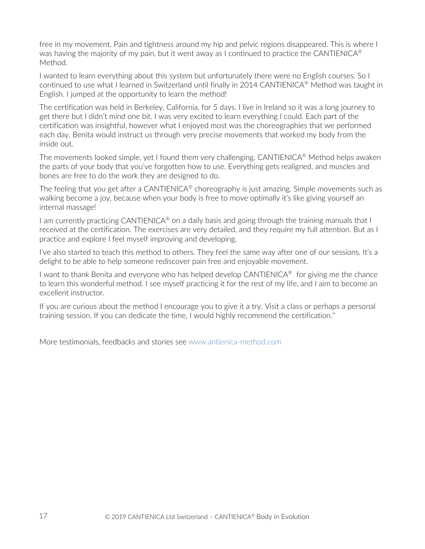free in my movement. Pain and tightness around my hip and pelvic regions disappeared. This is where I was having the majority of my pain, but it went away as I continued to practice the CANTIENICA<sup>®</sup> Method.

I wanted to learn everything about this system but unfortunately there were no English courses. So I continued to use what I learned in Switzerland until finally in 2014 CANTIENICA® Method was taught in English. I jumped at the opportunity to learn the method!

The certification was held in Berkeley, California, for 5 days. I live in Ireland so it was a long journey to get there but I didn't mind one bit. I was very excited to learn everything I could. Each part of the certification was insightful, however what I enjoyed most was the choreographies that we performed each day. Benita would instruct us through very precise movements that worked my body from the inside out.

The movements looked simple, yet I found them very challenging. CANTIENICA® Method helps awaken the parts of your body that you've forgotten how to use. Everything gets realigned, and muscles and bones are free to do the work they are designed to do.

The feeling that you get after a CANTIENICA<sup>®</sup> choreography is just amazing. Simple movements such as walking become a joy, because when your body is free to move optimally it's like giving yourself an internal massage!

I am currently practicing CANTIENICA<sup>®</sup> on a daily basis and going through the training manuals that I received at the certification. The exercises are very detailed, and they require my full attention. But as I practice and explore I feel myself improving and developing.

I've also started to teach this method to others. They feel the same way after one of our sessions. It's a delight to be able to help someone rediscover pain free and enjoyable movement.

I want to thank Benita and everyone who has helped develop CANTIENICA<sup>®</sup> for giving me the chance to learn this wonderful method. I see myself practicing it for the rest of my life, and I aim to become an excellent instructor.

If you are curious about the method I encourage you to give it a try. Visit a class or perhaps a personal training session. If you can dedicate the time, I would highly recommend the certification."

More testimonials, feedbacks and stories see www.antienica-method.com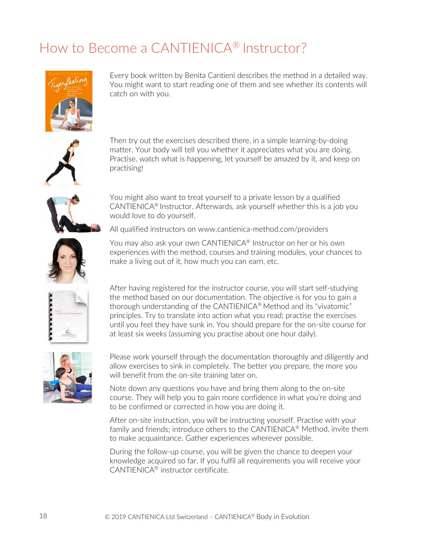## How to Become a CANTIENICA® Instructor?



Every book written by Benita Cantieni describes the method in a detailed way. You might want to start reading one of them and see whether its contents will catch on with you.



Then try out the exercises described there, in a simple learning-by-doing matter. Your body will tell you whether it appreciates what you are doing. Practise, watch what is happening, let yourself be amazed by it, and keep on practising!



You might also want to treat yourself to a private lesson by a qualified CANTIENICA® Instructor. Afterwards, ask yourself whether this is a job you would love to do yourself.

All qualified instructors on www.cantienica-method.com/providers



You may also ask your own CANTIENICA® Instructor on her or his own experiences with the method, courses and training modules, your chances to make a living out of it, how much you can earn, etc.



After having registered for the instructor course, you will start self-studying the method based on our documentation. The objective is for you to gain a thorough understanding of the CANTIENICA® Method and its "vivatomic" principles. Try to translate into action what you read; practise the exercises until you feel they have sunk in. You should prepare for the on-site course for at least six weeks (assuming you practise about one hour daily).



Please work yourself through the documentation thoroughly and diligently and allow exercises to sink in completely. The better you prepare, the more you will benefit from the on-site training later on.

Note down any questions you have and bring them along to the on-site course. They will help you to gain more confidence in what you're doing and to be confirmed or corrected in how you are doing it.

After on-site instruction, you will be instructing yourself. Practise with your family and friends; introduce others to the CANTIENICA® Method, invite them to make acquaintance. Gather experiences wherever possible.

During the follow-up course, you will be given the chance to deepen your knowledge acquired so far. If you fulfil all requirements you will receive your CANTIENICA® instructor certificate.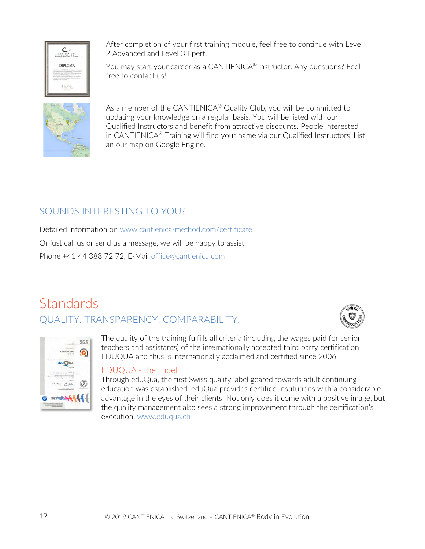

After completion of your first training module, feel free to continue with Level 2 Advanced and Level 3 Epert.

You may start your career as a CANTIENICA® Instructor. Any questions? Feel free to contact us!



As a member of the CANTIENICA<sup>®</sup> Quality Club, you will be committed to updating your knowledge on a regular basis. You will be listed with our Qualified Instructors and benefit from attractive discounts. People interested in CANTIENICA® Training will find your name via our Qualified Instructors' List an our map on Google Engine.

### SOUNDS INTERESTING TO YOU?

Detailed information on www.cantienica-method.com/certificate

Or just call us or send us a message, we will be happy to assist.

Phone +41 44 388 72 72, E-Mail office@cantienica.com

## **Standards** QUALITY. TRANSPARENCY. COMPARABILITY.





The quality of the training fulfills all criteria (including the wages paid for senior teachers and assistants) of the internationally accepted third party certification EDUQUA and thus is internationally acclaimed and certified since 2006.

### EDUQUA - the Label

Through eduQua, the first Swiss quality label geared towards adult continuing education was established. eduQua provides certified institutions with a considerable advantage in the eyes of their clients. Not only does it come with a positive image, but the quality management also sees a strong improvement through the certification's execution. www.eduqua.ch